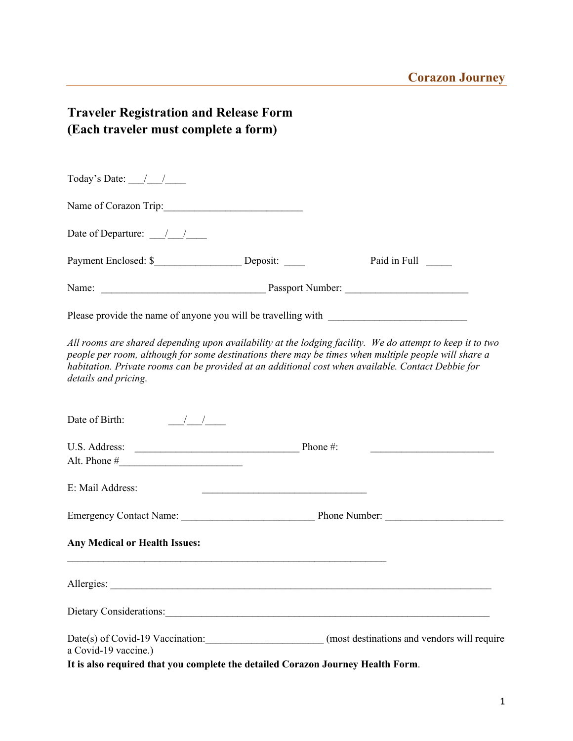# **Traveler Registration and Release Form (Each traveler must complete a form)**

| Today's Date: $\frac{1}{\sqrt{2}}$                                                                      |                                                                                                                                                                                                                                                                                                                         |
|---------------------------------------------------------------------------------------------------------|-------------------------------------------------------------------------------------------------------------------------------------------------------------------------------------------------------------------------------------------------------------------------------------------------------------------------|
| Name of Corazon Trip:                                                                                   |                                                                                                                                                                                                                                                                                                                         |
| Date of Departure: $\frac{1}{\sqrt{1-\frac{1}{2}}}$                                                     |                                                                                                                                                                                                                                                                                                                         |
|                                                                                                         | Paid in Full                                                                                                                                                                                                                                                                                                            |
|                                                                                                         |                                                                                                                                                                                                                                                                                                                         |
| Please provide the name of anyone you will be travelling with ___________________                       |                                                                                                                                                                                                                                                                                                                         |
| details and pricing.                                                                                    | All rooms are shared depending upon availability at the lodging facility. We do attempt to keep it to two<br>people per room, although for some destinations there may be times when multiple people will share a<br>habitation. Private rooms can be provided at an additional cost when available. Contact Debbie for |
| Date of Birth: $\frac{1}{\sqrt{1-\frac{1}{2}}}$                                                         |                                                                                                                                                                                                                                                                                                                         |
|                                                                                                         |                                                                                                                                                                                                                                                                                                                         |
|                                                                                                         |                                                                                                                                                                                                                                                                                                                         |
| E: Mail Address:                                                                                        |                                                                                                                                                                                                                                                                                                                         |
|                                                                                                         |                                                                                                                                                                                                                                                                                                                         |
| <b>Any Medical or Health Issues:</b>                                                                    |                                                                                                                                                                                                                                                                                                                         |
|                                                                                                         |                                                                                                                                                                                                                                                                                                                         |
|                                                                                                         | Dietary Considerations:                                                                                                                                                                                                                                                                                                 |
| a Covid-19 vaccine.)<br>It is also required that you complete the detailed Corazon Journey Health Form. | Date(s) of Covid-19 Vaccination: (most destinations and vendors will require                                                                                                                                                                                                                                            |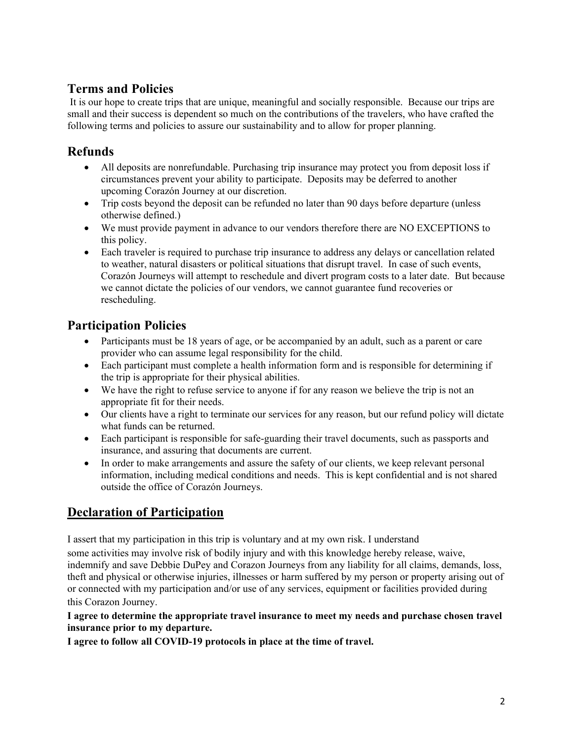## **Terms and Policies**

It is our hope to create trips that are unique, meaningful and socially responsible. Because our trips are small and their success is dependent so much on the contributions of the travelers, who have crafted the following terms and policies to assure our sustainability and to allow for proper planning.

#### **Refunds**

- All deposits are nonrefundable. Purchasing trip insurance may protect you from deposit loss if circumstances prevent your ability to participate. Deposits may be deferred to another upcoming Corazón Journey at our discretion.
- Trip costs beyond the deposit can be refunded no later than 90 days before departure (unless otherwise defined.)
- We must provide payment in advance to our vendors therefore there are NO EXCEPTIONS to this policy.
- Each traveler is required to purchase trip insurance to address any delays or cancellation related to weather, natural disasters or political situations that disrupt travel. In case of such events, Corazón Journeys will attempt to reschedule and divert program costs to a later date. But because we cannot dictate the policies of our vendors, we cannot guarantee fund recoveries or rescheduling.

#### **Participation Policies**

- Participants must be 18 years of age, or be accompanied by an adult, such as a parent or care provider who can assume legal responsibility for the child.
- Each participant must complete a health information form and is responsible for determining if the trip is appropriate for their physical abilities.
- We have the right to refuse service to anyone if for any reason we believe the trip is not an appropriate fit for their needs.
- Our clients have a right to terminate our services for any reason, but our refund policy will dictate what funds can be returned.
- Each participant is responsible for safe-guarding their travel documents, such as passports and insurance, and assuring that documents are current.
- In order to make arrangements and assure the safety of our clients, we keep relevant personal information, including medical conditions and needs. This is kept confidential and is not shared outside the office of Corazón Journeys.

### **Declaration of Participation**

I assert that my participation in this trip is voluntary and at my own risk. I understand

some activities may involve risk of bodily injury and with this knowledge hereby release, waive, indemnify and save Debbie DuPey and Corazon Journeys from any liability for all claims, demands, loss, theft and physical or otherwise injuries, illnesses or harm suffered by my person or property arising out of or connected with my participation and/or use of any services, equipment or facilities provided during this Corazon Journey.

**I agree to determine the appropriate travel insurance to meet my needs and purchase chosen travel insurance prior to my departure.**

**I agree to follow all COVID-19 protocols in place at the time of travel.**